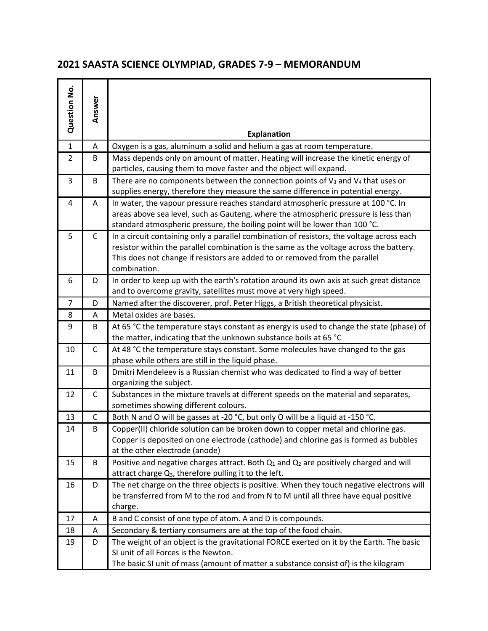## **2021 SAASTA SCIENCE OLYMPIAD, GRADES 7-9 – MEMORANDUM**

| Question No.   | Answer       | <b>Explanation</b>                                                                                                                                                                                                                                                                  |
|----------------|--------------|-------------------------------------------------------------------------------------------------------------------------------------------------------------------------------------------------------------------------------------------------------------------------------------|
| $\mathbf{1}$   | A            | Oxygen is a gas, aluminum a solid and helium a gas at room temperature.                                                                                                                                                                                                             |
| $\overline{2}$ | B            | Mass depends only on amount of matter. Heating will increase the kinetic energy of<br>particles, causing them to move faster and the object will expand.                                                                                                                            |
| 3              | B            | There are no components between the connection points of $V_3$ and $V_4$ that uses or<br>supplies energy, therefore they measure the same difference in potential energy.                                                                                                           |
| 4              | A            | In water, the vapour pressure reaches standard atmospheric pressure at 100 °C. In<br>areas above sea level, such as Gauteng, where the atmospheric pressure is less than<br>standard atmospheric pressure, the boiling point will be lower than 100 °C.                             |
| 5              | $\mathsf C$  | In a circuit containing only a parallel combination of resistors, the voltage across each<br>resistor within the parallel combination is the same as the voltage across the battery.<br>This does not change if resistors are added to or removed from the parallel<br>combination. |
| 6              | D            | In order to keep up with the earth's rotation around its own axis at such great distance<br>and to overcome gravity, satellites must move at very high speed.                                                                                                                       |
| $\overline{7}$ | D            | Named after the discoverer, prof. Peter Higgs, a British theoretical physicist.                                                                                                                                                                                                     |
| 8              | A            | Metal oxides are bases.                                                                                                                                                                                                                                                             |
| 9              | B            | At 65 °C the temperature stays constant as energy is used to change the state (phase) of<br>the matter, indicating that the unknown substance boils at 65 °C                                                                                                                        |
| 10             | $\mathsf{C}$ | At 48 °C the temperature stays constant. Some molecules have changed to the gas<br>phase while others are still in the liquid phase.                                                                                                                                                |
| 11             | B            | Dmitri Mendeleev is a Russian chemist who was dedicated to find a way of better<br>organizing the subject.                                                                                                                                                                          |
| 12             | $\mathsf C$  | Substances in the mixture travels at different speeds on the material and separates,<br>sometimes showing different colours.                                                                                                                                                        |
| 13             | C            | Both N and O will be gasses at -20 °C, but only O will be a liquid at -150 °C.                                                                                                                                                                                                      |
| 14             | B            | Copper(II) chloride solution can be broken down to copper metal and chlorine gas.<br>Copper is deposited on one electrode (cathode) and chlorine gas is formed as bubbles<br>at the other electrode (anode)                                                                         |
| 15             | B            | Positive and negative charges attract. Both $Q_1$ and $Q_2$ are positively charged and will<br>attract charge Q <sub>3</sub> , therefore pulling it to the left.                                                                                                                    |
| 16             | D            | The net charge on the three objects is positive. When they touch negative electrons will<br>be transferred from M to the rod and from N to M until all three have equal positive<br>charge.                                                                                         |
| 17             | A            | B and C consist of one type of atom. A and D is compounds.                                                                                                                                                                                                                          |
| 18             | A            | Secondary & tertiary consumers are at the top of the food chain.                                                                                                                                                                                                                    |
| 19             | D            | The weight of an object is the gravitational FORCE exerted on it by the Earth. The basic<br>SI unit of all Forces is the Newton.<br>The basic SI unit of mass (amount of matter a substance consist of) is the kilogram                                                             |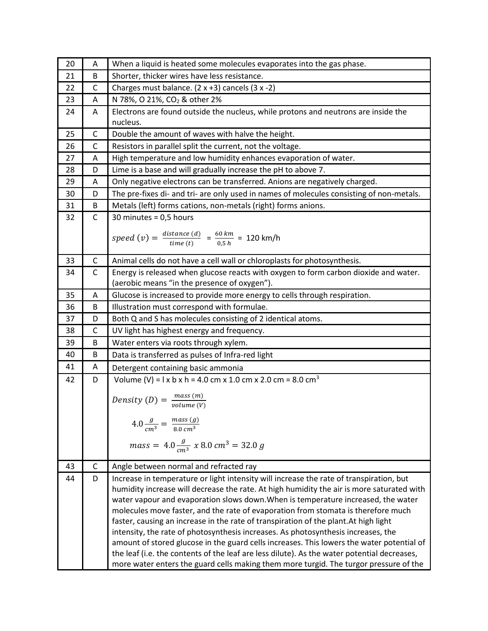| 20 | Α            | When a liquid is heated some molecules evaporates into the gas phase.                                              |
|----|--------------|--------------------------------------------------------------------------------------------------------------------|
| 21 | B            | Shorter, thicker wires have less resistance.                                                                       |
| 22 | C            | Charges must balance. $(2 x +3)$ cancels $(3 x -2)$                                                                |
| 23 | А            | N 78%, O 21%, CO <sub>2</sub> & other 2%                                                                           |
| 24 | Α            | Electrons are found outside the nucleus, while protons and neutrons are inside the                                 |
|    |              | nucleus.                                                                                                           |
| 25 | $\mathsf{C}$ | Double the amount of waves with halve the height.                                                                  |
| 26 | С            | Resistors in parallel split the current, not the voltage.                                                          |
| 27 | Α            | High temperature and low humidity enhances evaporation of water.                                                   |
| 28 | D            | Lime is a base and will gradually increase the pH to above 7.                                                      |
| 29 | Α            | Only negative electrons can be transferred. Anions are negatively charged.                                         |
| 30 | D            | The pre-fixes di- and tri- are only used in names of molecules consisting of non-metals.                           |
| 31 | B            | Metals (left) forms cations, non-metals (right) forms anions.                                                      |
| 32 | $\mathsf C$  | 30 minutes = $0,5$ hours                                                                                           |
|    |              |                                                                                                                    |
|    |              | speed (v) = $\frac{distance (d)}{time (t)} = \frac{60 km}{0.5 h} = 120 km/h$                                       |
| 33 | $\mathsf C$  | Animal cells do not have a cell wall or chloroplasts for photosynthesis.                                           |
| 34 | $\mathsf C$  | Energy is released when glucose reacts with oxygen to form carbon dioxide and water.                               |
|    |              | (aerobic means "in the presence of oxygen").                                                                       |
| 35 | Α            | Glucose is increased to provide more energy to cells through respiration.                                          |
| 36 | B            | Illustration must correspond with formulae.                                                                        |
| 37 | D            | Both Q and S has molecules consisting of 2 identical atoms.                                                        |
| 38 | $\mathsf C$  | UV light has highest energy and frequency.                                                                         |
| 39 | B            | Water enters via roots through xylem.                                                                              |
| 40 | B            | Data is transferred as pulses of Infra-red light                                                                   |
| 41 | Α            | Detergent containing basic ammonia                                                                                 |
| 42 | D            | Volume (V) = $1 \times b \times h = 4.0 \text{ cm} \times 1.0 \text{ cm} \times 2.0 \text{ cm} = 8.0 \text{ cm}^3$ |
|    |              |                                                                                                                    |
|    |              | Density (D) = $\frac{mass(m)}{volume(V)}$                                                                          |
|    |              |                                                                                                                    |
|    |              | $4.0 \frac{g}{cm^3} = \frac{mass (g)}{8.0 cm^3}$                                                                   |
|    |              | $mass = 4.0 \frac{g}{cm^3}$ x 8.0 cm <sup>3</sup> = 32.0 g                                                         |
|    |              |                                                                                                                    |
| 43 | C            | Angle between normal and refracted ray                                                                             |
| 44 | D            | Increase in temperature or light intensity will increase the rate of transpiration, but                            |
|    |              | humidity increase will decrease the rate. At high humidity the air is more saturated with                          |
|    |              | water vapour and evaporation slows down. When is temperature increased, the water                                  |
|    |              | molecules move faster, and the rate of evaporation from stomata is therefore much                                  |
|    |              | faster, causing an increase in the rate of transpiration of the plant. At high light                               |
|    |              | intensity, the rate of photosynthesis increases. As photosynthesis increases, the                                  |
|    |              | amount of stored glucose in the guard cells increases. This lowers the water potential of                          |
|    |              | the leaf (i.e. the contents of the leaf are less dilute). As the water potential decreases,                        |
|    |              | more water enters the guard cells making them more turgid. The turgor pressure of the                              |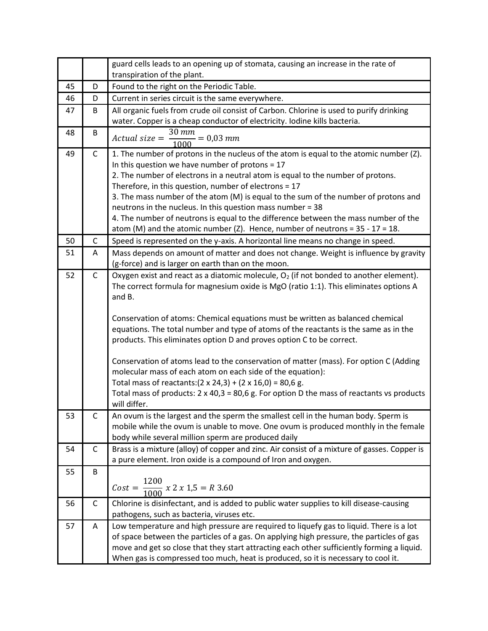|    |              | guard cells leads to an opening up of stomata, causing an increase in the rate of                                                                                       |
|----|--------------|-------------------------------------------------------------------------------------------------------------------------------------------------------------------------|
|    |              | transpiration of the plant.                                                                                                                                             |
| 45 | D            | Found to the right on the Periodic Table.                                                                                                                               |
| 46 | D            | Current in series circuit is the same everywhere.                                                                                                                       |
| 47 | B            | All organic fuels from crude oil consist of Carbon. Chlorine is used to purify drinking<br>water. Copper is a cheap conductor of electricity. Iodine kills bacteria.    |
|    | B            | 30 mm                                                                                                                                                                   |
| 48 |              | $Actual size =$<br>$\frac{m}{g} = 0.03$ mm                                                                                                                              |
| 49 | $\mathsf{C}$ | 1. The number of protons in the nucleus of the atom is equal to the atomic number (Z).                                                                                  |
|    |              | In this question we have number of protons = $17$                                                                                                                       |
|    |              | 2. The number of electrons in a neutral atom is equal to the number of protons.                                                                                         |
|    |              | Therefore, in this question, number of electrons = 17                                                                                                                   |
|    |              | 3. The mass number of the atom (M) is equal to the sum of the number of protons and                                                                                     |
|    |              | neutrons in the nucleus. In this question mass number = 38                                                                                                              |
|    |              | 4. The number of neutrons is equal to the difference between the mass number of the<br>atom (M) and the atomic number (Z). Hence, number of neutrons = $35 - 17 = 18$ . |
| 50 | $\mathsf{C}$ | Speed is represented on the y-axis. A horizontal line means no change in speed.                                                                                         |
| 51 | A            | Mass depends on amount of matter and does not change. Weight is influence by gravity                                                                                    |
|    |              | (g-force) and is larger on earth than on the moon.                                                                                                                      |
| 52 | $\mathsf{C}$ | Oxygen exist and react as a diatomic molecule, $O_2$ (if not bonded to another element).                                                                                |
|    |              | The correct formula for magnesium oxide is MgO (ratio 1:1). This eliminates options A                                                                                   |
|    |              | and B.                                                                                                                                                                  |
|    |              |                                                                                                                                                                         |
|    |              | Conservation of atoms: Chemical equations must be written as balanced chemical                                                                                          |
|    |              | equations. The total number and type of atoms of the reactants is the same as in the                                                                                    |
|    |              | products. This eliminates option D and proves option C to be correct.                                                                                                   |
|    |              | Conservation of atoms lead to the conservation of matter (mass). For option C (Adding                                                                                   |
|    |              | molecular mass of each atom on each side of the equation):                                                                                                              |
|    |              | Total mass of reactants: $(2 \times 24,3) + (2 \times 16,0) = 80,6$ g.                                                                                                  |
|    |              | Total mass of products: $2 \times 40,3 = 80,6$ g. For option D the mass of reactants vs products                                                                        |
|    |              | will differ.                                                                                                                                                            |
| 53 | C            | An ovum is the largest and the sperm the smallest cell in the human body. Sperm is                                                                                      |
|    |              | mobile while the ovum is unable to move. One ovum is produced monthly in the female                                                                                     |
|    |              | body while several million sperm are produced daily                                                                                                                     |
| 54 | C            | Brass is a mixture (alloy) of copper and zinc. Air consist of a mixture of gasses. Copper is                                                                            |
|    |              | a pure element. Iron oxide is a compound of Iron and oxygen.                                                                                                            |
| 55 | B            |                                                                                                                                                                         |
|    |              | $Cost = \frac{1200}{1000} \times 2 \times 1,5 = R \cdot 3.60$                                                                                                           |
|    |              |                                                                                                                                                                         |
| 56 | $\mathsf C$  | Chlorine is disinfectant, and is added to public water supplies to kill disease-causing                                                                                 |
|    |              | pathogens, such as bacteria, viruses etc.                                                                                                                               |
| 57 | A            | Low temperature and high pressure are required to liquefy gas to liquid. There is a lot                                                                                 |
|    |              | of space between the particles of a gas. On applying high pressure, the particles of gas                                                                                |
|    |              | move and get so close that they start attracting each other sufficiently forming a liquid.                                                                              |
|    |              | When gas is compressed too much, heat is produced, so it is necessary to cool it.                                                                                       |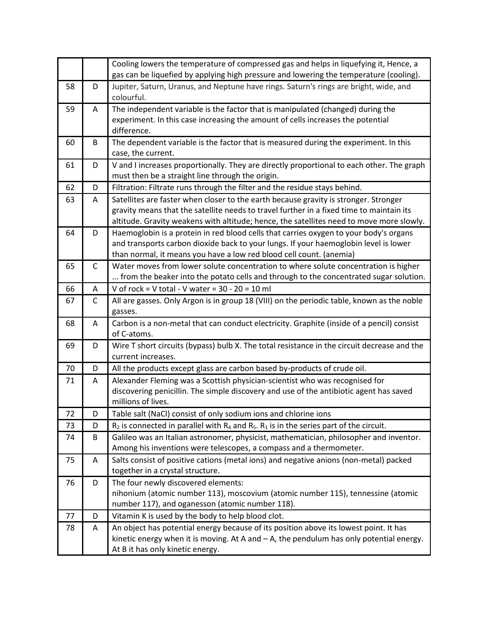|    |              | Cooling lowers the temperature of compressed gas and helps in liquefying it, Hence, a<br>gas can be liquefied by applying high pressure and lowering the temperature (cooling).                                                                                              |
|----|--------------|------------------------------------------------------------------------------------------------------------------------------------------------------------------------------------------------------------------------------------------------------------------------------|
| 58 | D            | Jupiter, Saturn, Uranus, and Neptune have rings. Saturn's rings are bright, wide, and<br>colourful.                                                                                                                                                                          |
| 59 | Α            | The independent variable is the factor that is manipulated (changed) during the<br>experiment. In this case increasing the amount of cells increases the potential<br>difference.                                                                                            |
| 60 | B            | The dependent variable is the factor that is measured during the experiment. In this<br>case, the current.                                                                                                                                                                   |
| 61 | D            | V and I increases proportionally. They are directly proportional to each other. The graph<br>must then be a straight line through the origin.                                                                                                                                |
| 62 | D            | Filtration: Filtrate runs through the filter and the residue stays behind.                                                                                                                                                                                                   |
| 63 | Α            | Satellites are faster when closer to the earth because gravity is stronger. Stronger<br>gravity means that the satellite needs to travel further in a fixed time to maintain its<br>altitude. Gravity weakens with altitude; hence, the satellites need to move more slowly. |
| 64 | D            | Haemoglobin is a protein in red blood cells that carries oxygen to your body's organs<br>and transports carbon dioxide back to your lungs. If your haemoglobin level is lower<br>than normal, it means you have a low red blood cell count. (anemia)                         |
| 65 | $\mathsf{C}$ | Water moves from lower solute concentration to where solute concentration is higher<br>from the beaker into the potato cells and through to the concentrated sugar solution.                                                                                                 |
| 66 | Α            | V of rock = V total - V water = $30 - 20 = 10$ ml                                                                                                                                                                                                                            |
| 67 | $\mathsf{C}$ | All are gasses. Only Argon is in group 18 (VIII) on the periodic table, known as the noble                                                                                                                                                                                   |
|    |              | gasses.                                                                                                                                                                                                                                                                      |
| 68 | A            | Carbon is a non-metal that can conduct electricity. Graphite (inside of a pencil) consist<br>of C-atoms.                                                                                                                                                                     |
| 69 | D            | Wire T short circuits (bypass) bulb X. The total resistance in the circuit decrease and the<br>current increases.                                                                                                                                                            |
| 70 | D            | All the products except glass are carbon based by-products of crude oil.                                                                                                                                                                                                     |
| 71 | A            | Alexander Fleming was a Scottish physician-scientist who was recognised for                                                                                                                                                                                                  |
|    |              | discovering penicillin. The simple discovery and use of the antibiotic agent has saved<br>millions of lives.                                                                                                                                                                 |
| 72 | D            | Table salt (NaCl) consist of only sodium ions and chlorine ions                                                                                                                                                                                                              |
| 73 | D            | $R_2$ is connected in parallel with $R_4$ and $R_5$ . $R_1$ is in the series part of the circuit.                                                                                                                                                                            |
| 74 | B            | Galileo was an Italian astronomer, physicist, mathematician, philosopher and inventor.<br>Among his inventions were telescopes, a compass and a thermometer.                                                                                                                 |
| 75 | A            | Salts consist of positive cations (metal ions) and negative anions (non-metal) packed<br>together in a crystal structure.                                                                                                                                                    |
| 76 | D            | The four newly discovered elements:<br>nihonium (atomic number 113), moscovium (atomic number 115), tennessine (atomic<br>number 117), and oganesson (atomic number 118).                                                                                                    |
| 77 | D            | Vitamin K is used by the body to help blood clot.                                                                                                                                                                                                                            |
| 78 | A            | An object has potential energy because of its position above its lowest point. It has<br>kinetic energy when it is moving. At A and - A, the pendulum has only potential energy.<br>At B it has only kinetic energy.                                                         |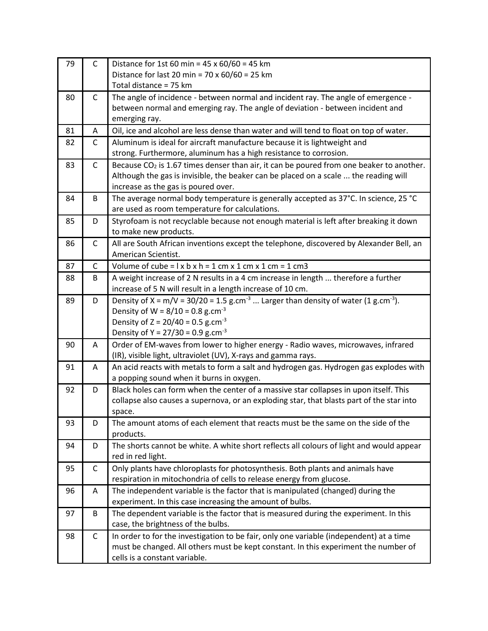| 79 | $\mathsf{C}$ | Distance for 1st 60 min = $45 \times 60/60 = 45$ km<br>Distance for last 20 min = $70 \times 60/60 = 25$ km                        |
|----|--------------|------------------------------------------------------------------------------------------------------------------------------------|
|    |              | Total distance = 75 km                                                                                                             |
| 80 | C            | The angle of incidence - between normal and incident ray. The angle of emergence -                                                 |
|    |              | between normal and emerging ray. The angle of deviation - between incident and                                                     |
|    |              | emerging ray.                                                                                                                      |
| 81 | Α            | Oil, ice and alcohol are less dense than water and will tend to float on top of water.                                             |
| 82 | $\mathsf{C}$ | Aluminum is ideal for aircraft manufacture because it is lightweight and                                                           |
|    |              | strong. Furthermore, aluminum has a high resistance to corrosion.                                                                  |
| 83 | $\mathsf{C}$ | Because $CO2$ is 1.67 times denser than air, it can be poured from one beaker to another.                                          |
|    |              | Although the gas is invisible, the beaker can be placed on a scale  the reading will                                               |
|    |              | increase as the gas is poured over.                                                                                                |
| 84 | В            | The average normal body temperature is generally accepted as 37°C. In science, 25 °C                                               |
|    |              | are used as room temperature for calculations.                                                                                     |
| 85 | D            | Styrofoam is not recyclable because not enough material is left after breaking it down<br>to make new products.                    |
| 86 | $\mathsf{C}$ | All are South African inventions except the telephone, discovered by Alexander Bell, an                                            |
|    |              | American Scientist.                                                                                                                |
| 87 | C            | Volume of cube = $1 \times b \times h = 1$ cm $\times$ 1 cm $\times$ 1 cm = 1 cm3                                                  |
| 88 | B            | A weight increase of 2 N results in a 4 cm increase in length  therefore a further                                                 |
|    |              | increase of 5 N will result in a length increase of 10 cm.                                                                         |
| 89 | D            | Density of X = $m/V$ = 30/20 = 1.5 g.cm <sup>-3</sup> Larger than density of water (1 g.cm <sup>-3</sup> ).                        |
|    |              | Density of W = $8/10 = 0.8$ g.cm <sup>-3</sup>                                                                                     |
|    |              | Density of $Z = 20/40 = 0.5$ g.cm <sup>-3</sup>                                                                                    |
|    |              | Density of Y = $27/30 = 0.9$ g.cm <sup>-3</sup>                                                                                    |
| 90 | A            | Order of EM-waves from lower to higher energy - Radio waves, microwaves, infrared                                                  |
|    |              | (IR), visible light, ultraviolet (UV), X-rays and gamma rays.                                                                      |
| 91 | A            | An acid reacts with metals to form a salt and hydrogen gas. Hydrogen gas explodes with<br>a popping sound when it burns in oxygen. |
| 92 | D            | Black holes can form when the center of a massive star collapses in upon itself. This                                              |
|    |              | collapse also causes a supernova, or an exploding star, that blasts part of the star into                                          |
|    |              | space.                                                                                                                             |
| 93 | D            | The amount atoms of each element that reacts must be the same on the side of the                                                   |
|    |              | products.                                                                                                                          |
| 94 | D            | The shorts cannot be white. A white short reflects all colours of light and would appear                                           |
|    |              | red in red light.                                                                                                                  |
| 95 | $\mathsf C$  | Only plants have chloroplasts for photosynthesis. Both plants and animals have                                                     |
|    |              | respiration in mitochondria of cells to release energy from glucose.                                                               |
| 96 | A            | The independent variable is the factor that is manipulated (changed) during the                                                    |
|    |              | experiment. In this case increasing the amount of bulbs.                                                                           |
| 97 | B            | The dependent variable is the factor that is measured during the experiment. In this                                               |
|    |              | case, the brightness of the bulbs.                                                                                                 |
| 98 | $\mathsf C$  | In order to for the investigation to be fair, only one variable (independent) at a time                                            |
|    |              | must be changed. All others must be kept constant. In this experiment the number of                                                |
|    |              | cells is a constant variable.                                                                                                      |